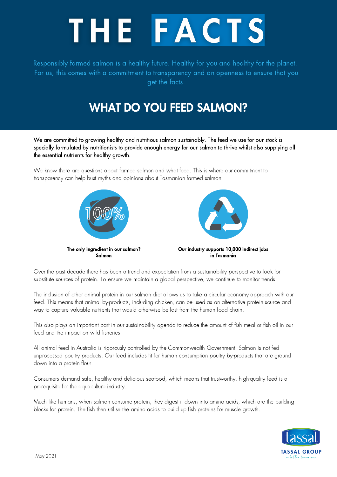

Responsibly farmed salmon is a healthy future. Healthy for you and healthy for the planet. For us, this comes with a commitment to transparency and an openness to ensure that you get the facts.

## WHAT DO YOU FEED SALMON?

We are committed to growing healthy and nutritious salmon sustainably. The feed we use for our stock is specially formulated by nutritionists to provide enough energy for our salmon to thrive whilst also supplying all the essential nutrients for healthy growth.

We know there are questions about farmed salmon and what feed. This is where our commitment to transparency can help bust myths and opinions about Tasmanian farmed salmon.





The only ingredient in our salmon? Salmon

Our industry supports 10,000 indirect jobs in Tasmania

Over the past decade there has been a trend and expectation from a sustainability perspective to look for substitute sources of protein. To ensure we maintain a global perspective, we continue to monitor trends.

The inclusion of other animal protein in our salmon diet allows us to take a circular economy approach with our feed. This means that animal by-products, including chicken, can be used as an alternative protein source and way to capture valuable nutrients that would otherwise be lost from the human food chain.

This also plays an important part in our sustainability agenda to reduce the amount of fish meal or fish oil in our feed and the impact on wild fisheries.

All animal feed in Australia is rigorously controlled by the Commonwealth Government. Salmon is not fed unprocessed poultry products. Our feed includes fit for human consumption poultry by-products that are ground down into a protein flour.

Consumers demand safe, healthy and delicious seafood, which means that trustworthy, high-quality feed is a prerequisite for the aquaculture industry.

Much like humans, when salmon consume protein, they digest it down into amino acids, which are the building blocks for protein. The fish then utilise the amino acids to build up fish proteins for muscle growth.